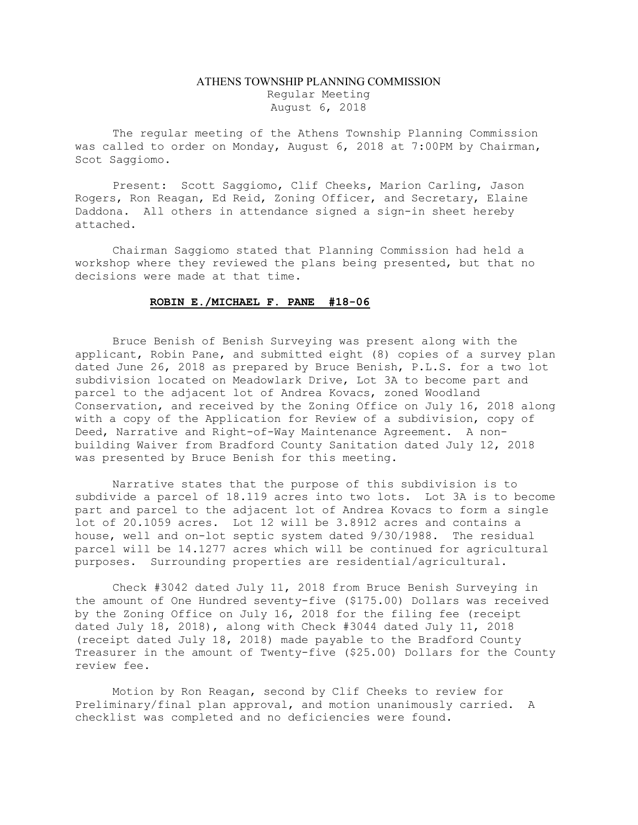## ATHENS TOWNSHIP PLANNING COMMISSION Regular Meeting August 6, 2018

The regular meeting of the Athens Township Planning Commission was called to order on Monday, August 6, 2018 at 7:00PM by Chairman, Scot Saggiomo.

Present: Scott Saggiomo, Clif Cheeks, Marion Carling, Jason Rogers, Ron Reagan, Ed Reid, Zoning Officer, and Secretary, Elaine Daddona. All others in attendance signed a sign-in sheet hereby attached.

Chairman Saggiomo stated that Planning Commission had held a workshop where they reviewed the plans being presented, but that no decisions were made at that time.

## ROBIN E./MICHAEL F. PANE #18-06

 Bruce Benish of Benish Surveying was present along with the applicant, Robin Pane, and submitted eight (8) copies of a survey plan dated June 26, 2018 as prepared by Bruce Benish, P.L.S. for a two lot subdivision located on Meadowlark Drive, Lot 3A to become part and parcel to the adjacent lot of Andrea Kovacs, zoned Woodland Conservation, and received by the Zoning Office on July 16, 2018 along with a copy of the Application for Review of a subdivision, copy of Deed, Narrative and Right-of-Way Maintenance Agreement. A nonbuilding Waiver from Bradford County Sanitation dated July 12, 2018 was presented by Bruce Benish for this meeting.

 Narrative states that the purpose of this subdivision is to subdivide a parcel of 18.119 acres into two lots. Lot 3A is to become part and parcel to the adjacent lot of Andrea Kovacs to form a single lot of 20.1059 acres. Lot 12 will be 3.8912 acres and contains a house, well and on-lot septic system dated 9/30/1988. The residual parcel will be 14.1277 acres which will be continued for agricultural purposes. Surrounding properties are residential/agricultural.

 Check #3042 dated July 11, 2018 from Bruce Benish Surveying in the amount of One Hundred seventy-five (\$175.00) Dollars was received by the Zoning Office on July 16, 2018 for the filing fee (receipt dated July 18, 2018), along with Check #3044 dated July 11, 2018 (receipt dated July 18, 2018) made payable to the Bradford County Treasurer in the amount of Twenty-five (\$25.00) Dollars for the County review fee.

 Motion by Ron Reagan, second by Clif Cheeks to review for Preliminary/final plan approval, and motion unanimously carried. A checklist was completed and no deficiencies were found.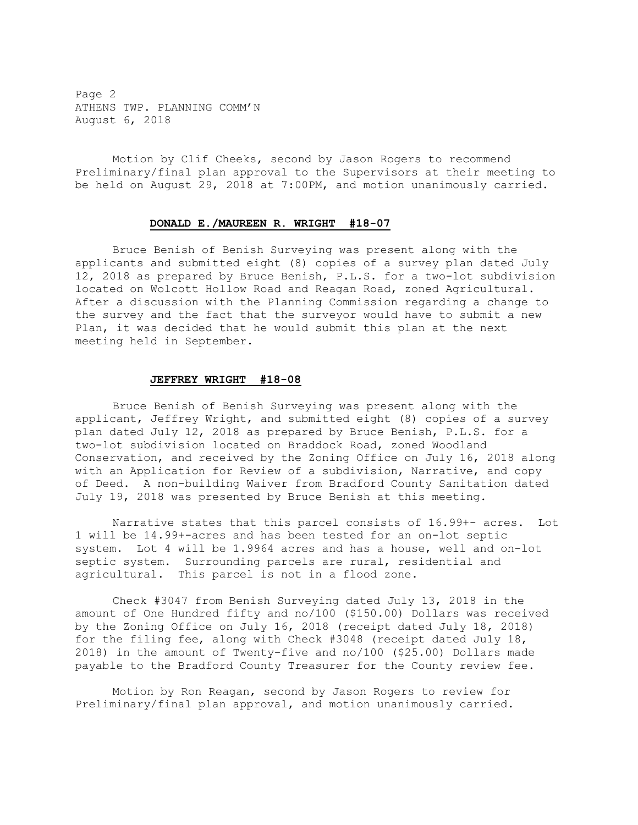Page 2 ATHENS TWP. PLANNING COMM'N August 6, 2018

Motion by Clif Cheeks, second by Jason Rogers to recommend Preliminary/final plan approval to the Supervisors at their meeting to be held on August 29, 2018 at 7:00PM, and motion unanimously carried.

## DONALD E./MAUREEN R. WRIGHT #18-07

 Bruce Benish of Benish Surveying was present along with the applicants and submitted eight (8) copies of a survey plan dated July 12, 2018 as prepared by Bruce Benish, P.L.S. for a two-lot subdivision located on Wolcott Hollow Road and Reagan Road, zoned Agricultural. After a discussion with the Planning Commission regarding a change to the survey and the fact that the surveyor would have to submit a new Plan, it was decided that he would submit this plan at the next meeting held in September.

## JEFFREY WRIGHT #18-08

 Bruce Benish of Benish Surveying was present along with the applicant, Jeffrey Wright, and submitted eight (8) copies of a survey plan dated July 12, 2018 as prepared by Bruce Benish, P.L.S. for a two-lot subdivision located on Braddock Road, zoned Woodland Conservation, and received by the Zoning Office on July 16, 2018 along with an Application for Review of a subdivision, Narrative, and copy of Deed. A non-building Waiver from Bradford County Sanitation dated July 19, 2018 was presented by Bruce Benish at this meeting.

 Narrative states that this parcel consists of 16.99+- acres. Lot 1 will be 14.99+-acres and has been tested for an on-lot septic system. Lot 4 will be 1.9964 acres and has a house, well and on-lot septic system. Surrounding parcels are rural, residential and agricultural. This parcel is not in a flood zone.

 Check #3047 from Benish Surveying dated July 13, 2018 in the amount of One Hundred fifty and no/100 (\$150.00) Dollars was received by the Zoning Office on July 16, 2018 (receipt dated July 18, 2018) for the filing fee, along with Check #3048 (receipt dated July 18, 2018) in the amount of Twenty-five and no/100 (\$25.00) Dollars made payable to the Bradford County Treasurer for the County review fee.

 Motion by Ron Reagan, second by Jason Rogers to review for Preliminary/final plan approval, and motion unanimously carried.